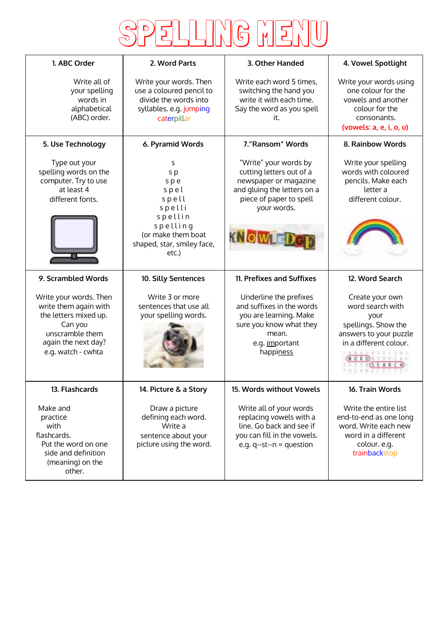

| 1. ABC Order                                                                                                                                        | 2. Word Parts                                                                                                                  | 3. Other Handed                                                                                                                                                       | 4. Vowel Spotlight                                                                                                                                                  |
|-----------------------------------------------------------------------------------------------------------------------------------------------------|--------------------------------------------------------------------------------------------------------------------------------|-----------------------------------------------------------------------------------------------------------------------------------------------------------------------|---------------------------------------------------------------------------------------------------------------------------------------------------------------------|
| Write all of<br>your spelling<br>words in<br>alphabetical<br>(ABC) order.                                                                           | Write your words. Then<br>use a coloured pencil to<br>divide the words into<br>syllables. e.g. jumping<br>caterpillar          | Write each word 5 times,<br>switching the hand you<br>write it with each time.<br>Say the word as you spell<br>it.                                                    | Write your words using<br>one colour for the<br>vowels and another<br>colour for the<br>consonants.<br>(vowels: a, e, i, o, u)                                      |
| 5. Use Technology                                                                                                                                   | 6. Pyramid Words                                                                                                               | 7."Ransom" Words                                                                                                                                                      | 8. Rainbow Words                                                                                                                                                    |
| Type out your<br>spelling words on the<br>computer. Try to use<br>at least 4<br>different fonts.                                                    | S<br>s p<br>spe<br>spel<br>spell<br>spelli<br>spellin<br>spelling<br>(or make them boat<br>shaped, star, smiley face,<br>etc.) | "Write" your words by<br>cutting letters out of a<br>newspaper or magazine<br>and gluing the letters on a<br>piece of paper to spell<br>your words.<br><b>KNOWTET</b> | Write your spelling<br>words with coloured<br>pencils. Make each<br>letter a<br>different colour.                                                                   |
| 9. Scrambled Words                                                                                                                                  | 10. Silly Sentences                                                                                                            | 11. Prefixes and Suffixes                                                                                                                                             | 12. Word Search                                                                                                                                                     |
| Write your words. Then<br>write them again with<br>the letters mixed up.<br>Can you<br>unscramble them<br>again the next day?<br>e.g. watch - cwhta | Write 3 or more<br>sentences that use all<br>your spelling words.                                                              | Underline the prefixes<br>and suffixes in the words<br>you are learning. Make<br>sure you know what they<br>mean.<br>e.g. important<br>happiness                      | Create your own<br>word search with<br>your<br>spellings. Show the<br>answers to your puzzle<br>in a different colour.<br>A 8 8 8 8 9 1 1 1 1 1 1 1<br>NESEARC<br>. |
| 13. Flashcards                                                                                                                                      | 14. Picture & a Story                                                                                                          | 15. Words without Vowels                                                                                                                                              | 16. Train Words                                                                                                                                                     |
| Make and<br>practice<br>with<br>flashcards.<br>Put the word on one<br>side and definition<br>(meaning) on the<br>other.                             | Draw a picture<br>defining each word.<br>Write a<br>sentence about your<br>picture using the word.                             | Write all of your words<br>replacing vowels with a<br>line. Go back and see if<br>you can fill in the vowels.<br>e.g. $q$ --st--n = question                          | Write the entire list<br>end-to-end as one long<br>word. Write each new<br>word in a different<br>colour. e.g.<br>trainbackstop                                     |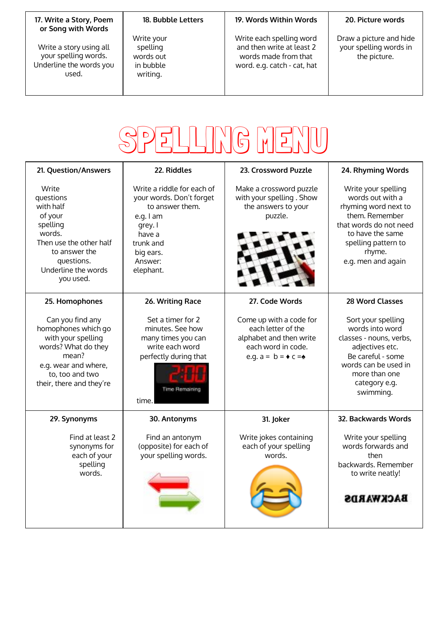## **17. Write a Story, Poem or Song with Words**

Write a story using all your spelling words. Underline the words you used.

## **18. Bubble Letters**

Write your spelling words out in bubble writing.

## **19. Words Within Words**

Write each spelling word and then write at least 2 words made from that word. e.g. catch - cat, hat

## **20. Picture words**

Draw a picture and hide your spelling words in the picture.



| 21. Question/Answers                                                                                                                                                 | 22. Riddles                                                                                                                                                   | 23. Crossword Puzzle                                                                                                                 | 24. Rhyming Words                                                                                                                                                                      |
|----------------------------------------------------------------------------------------------------------------------------------------------------------------------|---------------------------------------------------------------------------------------------------------------------------------------------------------------|--------------------------------------------------------------------------------------------------------------------------------------|----------------------------------------------------------------------------------------------------------------------------------------------------------------------------------------|
| Write<br>questions<br>with half<br>of your<br>spelling<br>words.<br>Then use the other half<br>to answer the<br>questions.<br>Underline the words<br>you used.       | Write a riddle for each of<br>your words. Don't forget<br>to answer them.<br>e.g. I am<br>grey. I<br>have a<br>trunk and<br>big ears.<br>Answer:<br>elephant. | Make a crossword puzzle<br>with your spelling . Show<br>the answers to your<br>puzzle.                                               | Write your spelling<br>words out with a<br>rhyming word next to<br>them. Remember<br>that words do not need<br>to have the same<br>spelling pattern to<br>rhyme.<br>e.g. men and again |
| 25. Homophones                                                                                                                                                       | 26. Writing Race                                                                                                                                              | 27. Code Words                                                                                                                       | 28 Word Classes                                                                                                                                                                        |
| Can you find any<br>homophones which go<br>with your spelling<br>words? What do they<br>mean?<br>e.g. wear and where,<br>to, too and two<br>their, there and they're | Set a timer for 2<br>minutes. See how<br>many times you can<br>write each word<br>perfectly during that<br><b>Time Remaining</b><br>time.                     | Come up with a code for<br>each letter of the<br>alphabet and then write<br>each word in code.<br>e.g. $a = b = \bullet c = \bullet$ | Sort your spelling<br>words into word<br>classes - nouns, verbs,<br>adjectives etc.<br>Be careful - some<br>words can be used in<br>more than one<br>category e.g.<br>swimming.        |
| 29. Synonyms                                                                                                                                                         | 30. Antonyms                                                                                                                                                  | 31. Joker                                                                                                                            | 32. Backwards Words                                                                                                                                                                    |
| Find at least 2<br>synonyms for<br>each of your<br>spelling<br>words.                                                                                                | Find an antonym<br>(opposite) for each of<br>your spelling words.                                                                                             | Write jokes containing<br>each of your spelling<br>words.                                                                            | Write your spelling<br>words forwards and<br>then<br>backwards. Remember<br>to write neatly!<br><b>BACKWARDS</b>                                                                       |